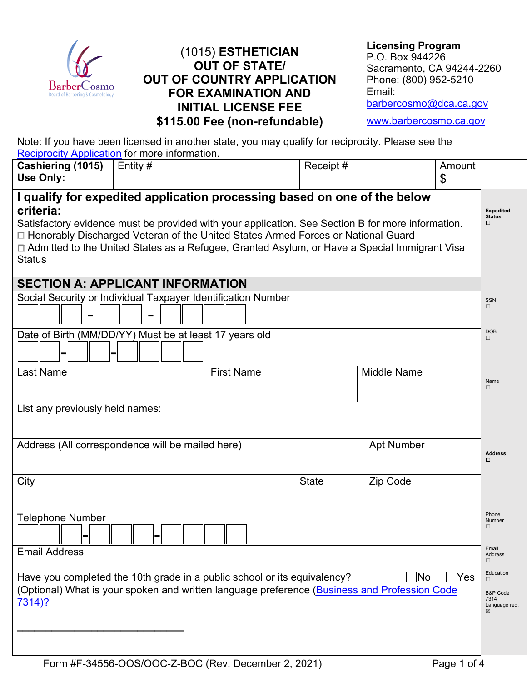

## (1015) **ESTHETICIAN OUT OF STATE/ OUT OF COUNTRY APPLICATION FOR EXAMINATION AND INITIAL LICENSE FEE \$115.00 Fee (non-refundable)**

**Licensing Program** P.O. Box 944226 Sacramento, CA 94244-2260 Phone: (800) 952-5210 Email: [barbercosmo@dca.ca.gov](mailto:barbercosmo@dca.ca.gov)

[www.barbercosmo.ca.gov](http://www.barbercosmo.ca.gov/)

Note: If you have been licensed in another state, you may qualify for reciprocity. Please see the [Reciprocity Application](https://barbercosmo.ca.gov/forms_pubs/forms/reciprocity.pdf) for more information.

| Cashiering (1015)<br>Use Only:                                                                                                                                                                                                                                                                                                                                                                      | Entity $#$        | Receipt#     |                    | Amount<br>\$ |                                                   |
|-----------------------------------------------------------------------------------------------------------------------------------------------------------------------------------------------------------------------------------------------------------------------------------------------------------------------------------------------------------------------------------------------------|-------------------|--------------|--------------------|--------------|---------------------------------------------------|
| I qualify for expedited application processing based on one of the below<br>criteria:<br>Satisfactory evidence must be provided with your application. See Section B for more information.<br>□ Honorably Discharged Veteran of the United States Armed Forces or National Guard<br>□ Admitted to the United States as a Refugee, Granted Asylum, or Have a Special Immigrant Visa<br><b>Status</b> |                   |              |                    |              |                                                   |
| <b>SECTION A: APPLICANT INFORMATION</b>                                                                                                                                                                                                                                                                                                                                                             |                   |              |                    |              |                                                   |
| Social Security or Individual Taxpayer Identification Number                                                                                                                                                                                                                                                                                                                                        |                   |              |                    |              | <b>SSN</b><br>$\Box$                              |
| Date of Birth (MM/DD/YY) Must be at least 17 years old                                                                                                                                                                                                                                                                                                                                              |                   |              |                    |              | <b>DOB</b>                                        |
| <b>Last Name</b>                                                                                                                                                                                                                                                                                                                                                                                    | <b>First Name</b> |              | <b>Middle Name</b> |              | Name<br>$\Box$                                    |
| List any previously held names:<br>Address (All correspondence will be mailed here)<br><b>Apt Number</b>                                                                                                                                                                                                                                                                                            |                   |              |                    |              |                                                   |
|                                                                                                                                                                                                                                                                                                                                                                                                     |                   |              |                    |              | <b>Address</b><br>□                               |
| City                                                                                                                                                                                                                                                                                                                                                                                                |                   | <b>State</b> | Zip Code           |              |                                                   |
| <b>Telephone Number</b>                                                                                                                                                                                                                                                                                                                                                                             |                   |              |                    |              | Phone<br>Number<br>П                              |
| <b>Email Address</b>                                                                                                                                                                                                                                                                                                                                                                                |                   |              |                    |              | Email<br>Address<br>П                             |
| Yes<br>Have you completed the 10th grade in a public school or its equivalency?<br>No                                                                                                                                                                                                                                                                                                               |                   |              |                    |              | Education<br>$\Box$                               |
| (Optional) What is your spoken and written language preference (Business and Profession Code<br><u>7314)?</u>                                                                                                                                                                                                                                                                                       |                   |              |                    |              | <b>B&amp;P</b> Code<br>7314<br>Language req.<br>⊠ |
|                                                                                                                                                                                                                                                                                                                                                                                                     |                   |              |                    |              |                                                   |
|                                                                                                                                                                                                                                                                                                                                                                                                     |                   |              |                    |              |                                                   |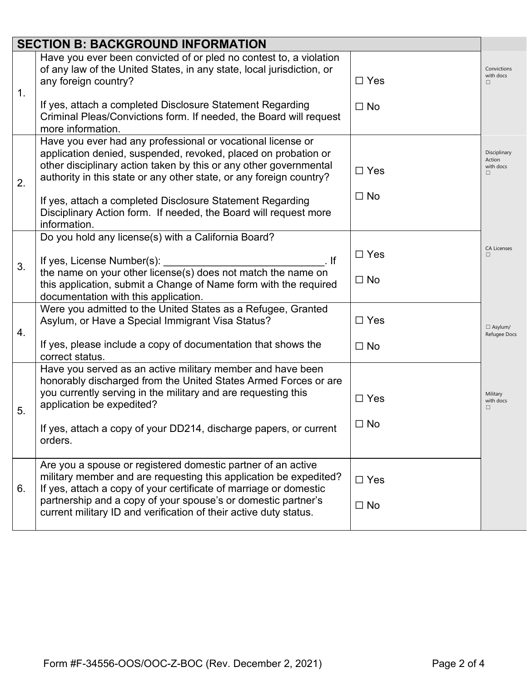| <b>SECTION B: BACKGROUND INFORMATION</b> |                                                                                                                                                                                                                                                                           |            |                                          |  |
|------------------------------------------|---------------------------------------------------------------------------------------------------------------------------------------------------------------------------------------------------------------------------------------------------------------------------|------------|------------------------------------------|--|
| 1.                                       | Have you ever been convicted of or pled no contest to, a violation<br>of any law of the United States, in any state, local jurisdiction, or<br>any foreign country?                                                                                                       | $\Box$ Yes | Convictions<br>with docs<br>П            |  |
|                                          | If yes, attach a completed Disclosure Statement Regarding<br>Criminal Pleas/Convictions form. If needed, the Board will request<br>more information.                                                                                                                      | $\Box$ No  |                                          |  |
| 2.                                       | Have you ever had any professional or vocational license or<br>application denied, suspended, revoked, placed on probation or<br>other disciplinary action taken by this or any other governmental<br>authority in this state or any other state, or any foreign country? | $\Box$ Yes | Disciplinary<br>Action<br>with docs<br>п |  |
|                                          | If yes, attach a completed Disclosure Statement Regarding<br>Disciplinary Action form. If needed, the Board will request more<br>information.                                                                                                                             | $\Box$ No  |                                          |  |
|                                          | Do you hold any license(s) with a California Board?                                                                                                                                                                                                                       |            |                                          |  |
| 3.                                       | If yes, License Number(s): _<br>$\mathbf{F}$ and $\mathbf{F}$ and $\mathbf{F}$ and $\mathbf{F}$                                                                                                                                                                           | $\Box$ Yes | <b>CA Licenses</b><br>п                  |  |
|                                          | the name on your other license(s) does not match the name on<br>this application, submit a Change of Name form with the required<br>documentation with this application.                                                                                                  | $\Box$ No  |                                          |  |
| 4.                                       | Were you admitted to the United States as a Refugee, Granted<br>Asylum, or Have a Special Immigrant Visa Status?                                                                                                                                                          | $\Box$ Yes | $\Box$ Asylum/<br>Refugee Docs           |  |
|                                          | If yes, please include a copy of documentation that shows the<br>correct status.                                                                                                                                                                                          | $\Box$ No  |                                          |  |
|                                          | Have you served as an active military member and have been<br>honorably discharged from the United States Armed Forces or are                                                                                                                                             |            |                                          |  |
| 5.                                       | you currently serving in the military and are requesting this<br>application be expedited?                                                                                                                                                                                | $\Box$ Yes | Military<br>with docs<br>П               |  |
|                                          | If yes, attach a copy of your DD214, discharge papers, or current<br>orders.                                                                                                                                                                                              | $\Box$ No  |                                          |  |
| 6.                                       | Are you a spouse or registered domestic partner of an active<br>military member and are requesting this application be expedited?<br>If yes, attach a copy of your certificate of marriage or domestic                                                                    | $\Box$ Yes |                                          |  |
|                                          | partnership and a copy of your spouse's or domestic partner's<br>current military ID and verification of their active duty status.                                                                                                                                        | $\Box$ No  |                                          |  |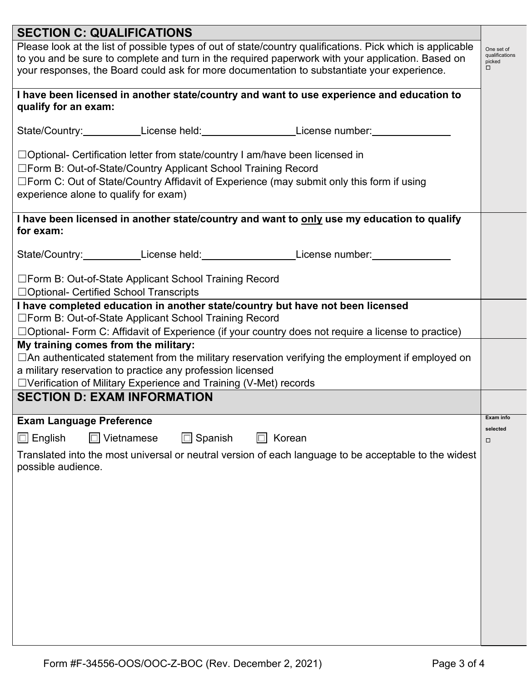| <b>SECTION C: QUALIFICATIONS</b>                                                                                                                                                                                                                                                                               |                       |  |  |  |
|----------------------------------------------------------------------------------------------------------------------------------------------------------------------------------------------------------------------------------------------------------------------------------------------------------------|-----------------------|--|--|--|
| Please look at the list of possible types of out of state/country qualifications. Pick which is applicable<br>to you and be sure to complete and turn in the required paperwork with your application. Based on<br>your responses, the Board could ask for more documentation to substantiate your experience. |                       |  |  |  |
| I have been licensed in another state/country and want to use experience and education to<br>qualify for an exam:                                                                                                                                                                                              |                       |  |  |  |
| State/Country:____________License held:____________________License number:_______                                                                                                                                                                                                                              |                       |  |  |  |
| $\Box$ Optional- Certification letter from state/country I am/have been licensed in<br>□Form B: Out-of-State/Country Applicant School Training Record<br>□Form C: Out of State/Country Affidavit of Experience (may submit only this form if using<br>experience alone to qualify for exam)                    |                       |  |  |  |
| I have been licensed in another state/country and want to only use my education to qualify<br>for exam:                                                                                                                                                                                                        |                       |  |  |  |
| State/Country:____________License held:___________________License number:________                                                                                                                                                                                                                              |                       |  |  |  |
| □ Form B: Out-of-State Applicant School Training Record<br>□ Optional- Certified School Transcripts                                                                                                                                                                                                            |                       |  |  |  |
| I have completed education in another state/country but have not been licensed<br>□ Form B: Out-of-State Applicant School Training Record<br>$\Box$ Optional- Form C: Affidavit of Experience (if your country does not require a license to practice)                                                         |                       |  |  |  |
| My training comes from the military:<br>$\Box$ An authenticated statement from the military reservation verifying the employment if employed on<br>a military reservation to practice any profession licensed<br>□ Verification of Military Experience and Training (V-Met) records                            |                       |  |  |  |
| <b>SECTION D: EXAM INFORMATION</b>                                                                                                                                                                                                                                                                             |                       |  |  |  |
| <b>Exam Language Preference</b>                                                                                                                                                                                                                                                                                | Exam info<br>selected |  |  |  |
| Vietnamese<br>$\Box$ Spanish<br>$\Box$ English<br>$\Box$<br>$\Box$ Korean                                                                                                                                                                                                                                      | 0                     |  |  |  |
| Translated into the most universal or neutral version of each language to be acceptable to the widest<br>possible audience.                                                                                                                                                                                    |                       |  |  |  |
|                                                                                                                                                                                                                                                                                                                |                       |  |  |  |
|                                                                                                                                                                                                                                                                                                                |                       |  |  |  |
|                                                                                                                                                                                                                                                                                                                |                       |  |  |  |
|                                                                                                                                                                                                                                                                                                                |                       |  |  |  |
|                                                                                                                                                                                                                                                                                                                |                       |  |  |  |
|                                                                                                                                                                                                                                                                                                                |                       |  |  |  |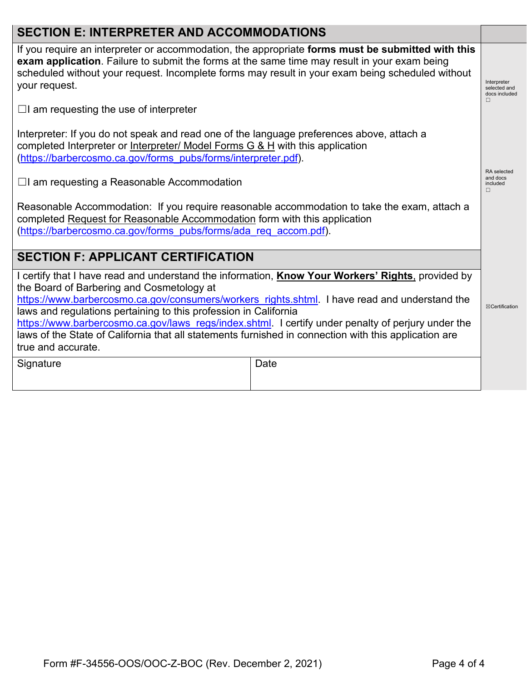# **SECTION E: INTERPRETER AND ACCOMMODATIONS**

If you require an interpreter or accommodation, the appropriate **forms must be submitted with this exam application**. Failure to submit the forms at the same time may result in your exam being scheduled without your request. Incomplete forms may result in your exam being scheduled without your request.

 $\Box$ I am requesting the use of interpreter

Interpreter: If you do not speak and read one of the language preferences above, attach a completed Interpreter or Interpreter/ Model Forms G & H with this application [\(https://barbercosmo.ca.gov/forms\\_pubs/forms/interpreter.pdf\)](https://barbercosmo.ca.gov/forms_pubs/forms/interpreter.pdf).

 $\Box$ I am requesting a Reasonable Accommodation

Reasonable Accommodation: If you require reasonable accommodation to take the exam, attach a completed Request for Reasonable Accommodation form with this application [\(https://barbercosmo.ca.gov/forms\\_pubs/forms/ada\\_req\\_accom.pdf\)](https://barbercosmo.ca.gov/forms_pubs/forms/ada_req_accom.pdf).

### **SECTION F: APPLICANT CERTIFICATION**

I certify that I have read and understand the information, **Know Your Workers' Rights**, provided by the Board of Barbering and Cosmetology at

[https://www.barbercosmo.ca.gov/consumers/workers\\_rights.shtml.](https://www.barbercosmo.ca.gov/consumers/workers_rights.shtml) I have read and understand the laws and regulations pertaining to this profession in California

[https://www.barbercosmo.ca.gov/laws\\_regs/index.shtml.](https://www.barbercosmo.ca.gov/laws_regs/index.shtml) I certify under penalty of perjury under the laws of the State of California that all statements furnished in connection with this application are true and accurate.

Signature Date Date Date

Interpreter selected and docs included

> RA selected and docs included  $□$